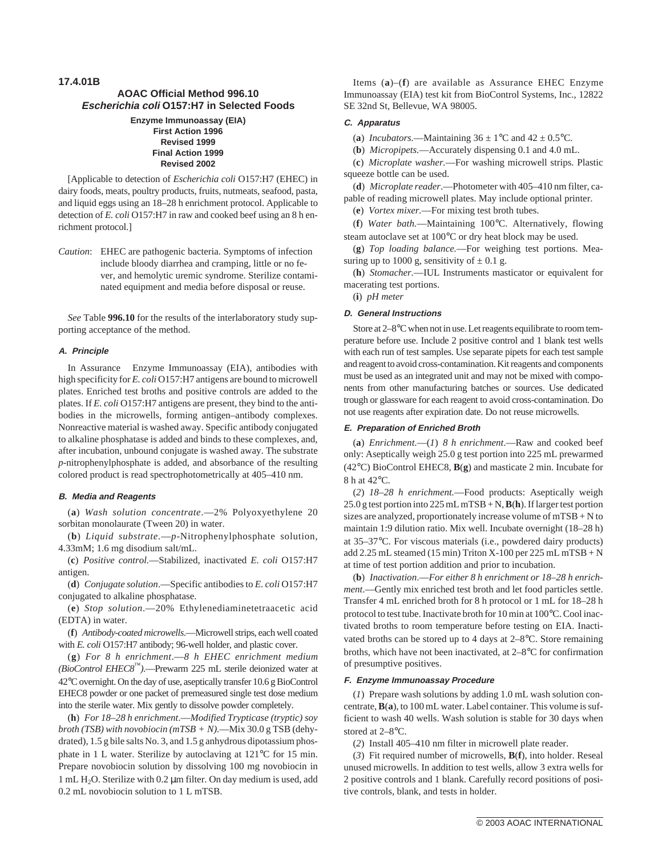# **17.4.01B AOAC Official Method 996.10 Escherichia coli O157:H7 in Selected Foods**

#### **Enzyme Immunoassay (EIA) First Action 1996 Revised 1999 Final Action 1999 Revised 2002**

[Applicable to detection of *Escherichia coli* O157:H7 (EHEC) in dairy foods, meats, poultry products, fruits, nutmeats, seafood, pasta, and liquid eggs using an 18–28 h enrichment protocol. Applicable to detection of *E. coli* O157:H7 in raw and cooked beef using an 8 h enrichment protocol.]

*Caution*: EHEC are pathogenic bacteria. Symptoms of infection include bloody diarrhea and cramping, little or no fever, and hemolytic uremic syndrome. Sterilize contaminated equipment and media before disposal or reuse.

*See* Table **996.10** for the results of the interlaboratory study supporting acceptance of the method.

### **A. Principle**

In Assurance® Enzyme Immunoassay (EIA), antibodies with high specificity for *E. coli* O157:H7 antigens are bound to microwell plates. Enriched test broths and positive controls are added to the plates. If *E. coli* O157:H7 antigens are present, they bind to the antibodies in the microwells, forming antigen–antibody complexes. Nonreactive material is washed away. Specific antibody conjugated to alkaline phosphatase is added and binds to these complexes, and, after incubation, unbound conjugate is washed away. The substrate *p*-nitrophenylphosphate is added, and absorbance of the resulting colored product is read spectrophotometrically at 405–410 nm.

#### **B. Media and Reagents**

(**a**) *Wash solution concentrate*.—2% Polyoxyethylene 20 sorbitan monolaurate (Tween 20) in water.

(**b**) *Liquid substrate.*—*p*-Nitrophenylphosphate solution, 4.33mM; 1.6 mg disodium salt/mL.

(**c**) *Positive control.*—Stabilized, inactivated *E. coli* O157:H7 antigen.

(**d**) *Conjugate solution*.—Specific antibodies to *E. coli* O157:H7 conjugated to alkaline phosphatase.

(**e**) *Stop solution*.—20% Ethylenediaminetetraacetic acid (EDTA) in water.

(**f**) *Antibody-coated microwells*.—Microwell strips, each well coated with *E. coli* O157:H7 antibody; 96-well holder, and plastic cover.

(**g**) *For 8 h enrichment*.—*8 h EHEC enrichment medium (BioControl EHEC8™)*.—Prewarm 225 mL sterile deionized water at 42°C overnight. On the day of use, aseptically transfer 10.6 g BioControl EHEC8 powder or one packet of premeasured single test dose medium into the sterile water. Mix gently to dissolve powder completely.

(**h**) *For 18–28 h enrichment*.—*Modified Trypticase (tryptic) soy broth (TSB) with novobiocin (mTSB + N).*—Mix 30.0 g TSB (dehydrated), 1.5 g bile salts No. 3, and 1.5 g anhydrous dipotassium phosphate in 1 L water. Sterilize by autoclaving at 121°C for 15 min. Prepare novobiocin solution by dissolving 100 mg novobiocin in  $1 \text{ mL H}_2$ O. Sterilize with 0.2  $\mu$ m filter. On day medium is used, add 0.2 mL novobiocin solution to 1 L mTSB.

Items (**a**)–(**f**) are available as Assurance EHEC Enzyme Immunoassay (EIA) test kit from BioControl Systems, Inc., 12822 SE 32nd St, Bellevue, WA 98005.

## **C. Apparatus**

(a) *Incubators*.—Maintaining  $36 \pm 1^{\circ}$ C and  $42 \pm 0.5^{\circ}$ C.

(**b**) *Micropipets.*—Accurately dispensing 0.1 and 4.0 mL.

(**c**) *Microplate washer.*—For washing microwell strips. Plastic squeeze bottle can be used.

(**d**) *Microplate reader*.—Photometer with 405–410 nm filter, capable of reading microwell plates. May include optional printer.

(**e**) *Vortex mixer.*—For mixing test broth tubes.

(**f**) *Water bath.*—Maintaining 100°C. Alternatively, flowing steam autoclave set at 100°C or dry heat block may be used.

(**g**) *Top loading balance.*—For weighing test portions. Measuring up to 1000 g, sensitivity of  $\pm$  0.1 g.

(**h**) *Stomacher.*—IUL Instruments masticator or equivalent for macerating test portions.

(**i**) *pH meter*

#### **D. General Instructions**

Store at 2–8°C when not in use. Let reagents equilibrate to room temperature before use. Include 2 positive control and 1 blank test wells with each run of test samples. Use separate pipets for each test sample and reagent to avoid cross-contamination. Kit reagents and components must be used as an integrated unit and may not be mixed with components from other manufacturing batches or sources. Use dedicated trough or glassware for each reagent to avoid cross-contamination. Do not use reagents after expiration date. Do not reuse microwells.

### **E. Preparation of Enriched Broth**

(**a**) *Enrichment*.—(*1*) *8 h enrichment*.—Raw and cooked beef only: Aseptically weigh 25.0 g test portion into 225 mL prewarmed (42°C) BioControl EHEC8, **B**(**g**) and masticate 2 min. Incubate for 8 h at 42°C.

(*2*) *18–28 h enrichment.*—Food products: Aseptically weigh 25.0 g test portion into 225 mL mTSB + N,**B**(**h**). If larger test portion sizes are analyzed, proportionately increase volume of mTSB + N to maintain 1:9 dilution ratio. Mix well. Incubate overnight (18–28 h) at 35–37°C. For viscous materials (i.e., powdered dairy products) add  $2.25$  mL steamed (15 min) Triton X-100 per  $225$  mL mTSB + N at time of test portion addition and prior to incubation.

(**b**) *Inactivation*.—*For either 8 h enrichment or 18–28 h enrichment*.—Gently mix enriched test broth and let food particles settle. Transfer 4 mL enriched broth for 8 h protocol or 1 mL for 18–28 h protocol to test tube. Inactivate broth for 10 min at 100°C. Cool inactivated broths to room temperature before testing on EIA. Inactivated broths can be stored up to 4 days at 2–8°C. Store remaining broths, which have not been inactivated, at 2–8°C for confirmation of presumptive positives.

#### **F. Enzyme Immunoassay Procedure**

(*1*) Prepare wash solutions by adding 1.0 mL wash solution concentrate,**B**(**a**), to 100 mL water. Label container. This volume is sufficient to wash 40 wells. Wash solution is stable for 30 days when stored at 2–8°C.

(*2*) Install 405–410 nm filter in microwell plate reader.

(*3*) Fit required number of microwells, **B**(**f**), into holder. Reseal unused microwells. In addition to test wells, allow 3 extra wells for 2 positive controls and 1 blank. Carefully record positions of positive controls, blank, and tests in holder.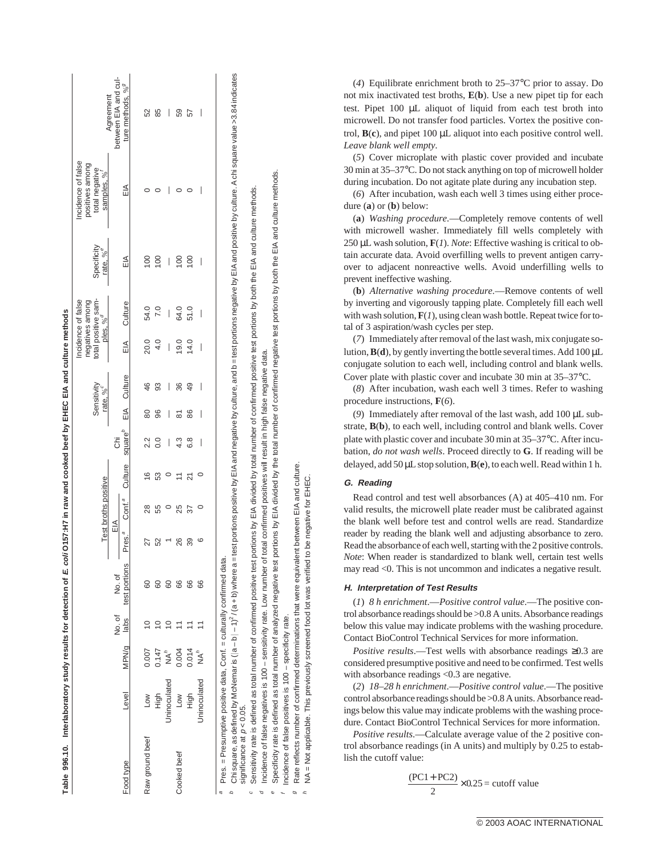|                 |                                                                                                                                                                                                                                                                                            |           |                |                        |                           | Test broths positive |                            |                          |     | Sensitivit<br>rate, % <sup>c</sup> |                          | total positive sam-<br>Incidence of false<br>negatives among<br>ples. % | Specificit<br>rate. % <sup>e</sup> | Incidence of false<br>positives among<br>total negative<br>samples, % | Aareement                                            |
|-----------------|--------------------------------------------------------------------------------------------------------------------------------------------------------------------------------------------------------------------------------------------------------------------------------------------|-----------|----------------|------------------------|---------------------------|----------------------|----------------------------|--------------------------|-----|------------------------------------|--------------------------|-------------------------------------------------------------------------|------------------------------------|-----------------------------------------------------------------------|------------------------------------------------------|
| Food type       | Level                                                                                                                                                                                                                                                                                      | MPN/g     | No. of<br>labs | test portions<br>No.of | EΙA<br>Pres. <sup>a</sup> |                      | Conf. <sup>ª</sup> Culture | square $^{\rho}$<br>ā    | EIA | Culture                            | EIA                      | Culture                                                                 | ΕIΑ                                | ΕIΑ                                                                   | between EIA and cul-<br>ture methods, % <sup>9</sup> |
| Raw ground beef | <b>NOT</b>                                                                                                                                                                                                                                                                                 | 0.007     |                |                        | 27                        | 28                   | $\frac{6}{5}$              |                          | 8   | 46                                 | 20.0                     | 54.0                                                                    |                                    |                                                                       | 52                                                   |
|                 | High                                                                                                                                                                                                                                                                                       | 0.147     |                |                        | 52                        | 55                   | S                          | $\overline{0}$           | 96  | 93                                 | 4.0                      | 2.0                                                                     | $\overline{0}$                     |                                                                       | 85                                                   |
|                 | Jninoculated                                                                                                                                                                                                                                                                               | Å∿<br>NA^ |                | ළ                      |                           |                      |                            | I                        | I   | I                                  | $\overline{\phantom{a}}$ | $\bigg $                                                                | I                                  | I                                                                     | $\overline{\phantom{a}}$                             |
| Cooked beef     | <b>NOT</b>                                                                                                                                                                                                                                                                                 | 0.004     |                | 8                      | 26                        | 25                   | Ξ                          | 4.3                      | ౚ   | 36                                 | 19.0                     | 64.0                                                                    | $\frac{8}{1}$                      |                                                                       | 59                                                   |
|                 | High                                                                                                                                                                                                                                                                                       | 0.014     |                | မ္ထ                    | 39                        | 37                   | ಸ                          | 8.9                      | 86  | $\overline{49}$                    | 14.0                     | 51.0                                                                    | $\overline{0}$                     |                                                                       | 57                                                   |
|                 | Uninoculated                                                                                                                                                                                                                                                                               | Å∿<br>NA^ |                | 8                      |                           |                      |                            | $\overline{\phantom{a}}$ | I   | I                                  | I                        | $\overline{\phantom{a}}$                                                | $\overline{\phantom{a}}$           | $\overline{\phantom{a}}$                                              | $\overline{\phantom{a}}$                             |
| a               | Chi square, as defined by McNemar is ( a − b  − 1) <sup>2</sup> /(a + b) where a = test portions positive by ElA and he test portions negative by ElA and positive by culture. A chi square value >3.84 indicates<br>Pres. = Presumptive positive data, Conf. = culturally confirmed data. |           |                |                        |                           |                      |                            |                          |     |                                    |                          |                                                                         |                                    |                                                                       |                                                      |

significance at  $p < 0.05$ . significance at p < 0.05.

° Sensitivity rate is defined as total number of confirmed positive test portions by EIA divided by total number of confirmed positive test portions by both the EIA and culture methods.<br><sup>d</sup> Incidence of false negatives is Sensitivity rate is defined as total number of confirmed positive test portions by EIA divided by total number of confirmed positive test portions by both the EIA and culture methods

Incidence of false negatives is 100 - sensitivity rate. Low number of total confirmed positives will result in high false negative data.

Specificity rate is defined as total number of analyzed negative test portions by EIA divided by the total number of confirmed negative test

EIA and culture methods

portions by both the

 $100 -$ specificity Incidence of false positives is

 $\sigma$ 

Rate reflects number of confirmed determinations that were equivalent between EIA and culture.

NA = Not applicable. This previously screened food lot was verified to be negative for EHEC.

(*4*) Equilibrate enrichment broth to 25–37°C prior to assay. Do not mix inactivated test broths, **E**(**b**). Use a new pipet tip for each test. Pipet 100 µL aliquot of liquid from each test broth into microwell. Do not transfer food particles. Vortex the positive control, **B**(**c**), and pipet 100 µL aliquot into each positive control well. *Leave blank well empty.*

(*5*) Cover microplate with plastic cover provided and incubate 30 min at 35–37°C. Do not stack anything on top of microwell holder during incubation. Do not agitate plate during any incubation step.

(*6*) After incubation, wash each well 3 times using either procedure (**a**) or (**b**) below:

(**a**) *Washing procedure.*—Completely remove contents of well with microwell washer. Immediately fill wells completely with 250 µL wash solution, **F**(*1*). *Note*: Effective washing is critical to obtain accurate data. Avoid overfilling wells to prevent antigen carryover to adjacent nonreactive wells. Avoid underfilling wells to prevent ineffective washing.

(**b**) *Alternative washing procedure.*—Remove contents of well by inverting and vigorously tapping plate. Completely fill each well with wash solution,  $\mathbf{F}(I)$ , using clean wash bottle. Repeat twice for total of 3 aspiration/wash cycles per step.

(*7*) Immediately after removal of the last wash, mix conjugate solution,**B**(**d**), by gently inverting the bottle several times. Add 100 µL conjugate solution to each well, including control and blank wells. Cover plate with plastic cover and incubate 30 min at 35–37°C.

(*8*) After incubation, wash each well 3 times. Refer to washing procedure instructions, **F**(*6*).

(*9*) Immediately after removal of the last wash, add 100 µL substrate, **B**(**b**), to each well, including control and blank wells. Cover plate with plastic cover and incubate 30 min at 35–37°C. After incubation, *do not wash wells*. Proceed directly to **G**. If reading will be delayed, add 50 µL stop solution,**B**(**e**), to each well. Read within 1 h.

## **G. Reading**

Read control and test well absorbances (A) at 405–410 nm. For valid results, the microwell plate reader must be calibrated against the blank well before test and control wells are read. Standardize reader by reading the blank well and adjusting absorbance to zero. Read the absorbance of each well, starting with the 2 positive controls. *Note*: When reader is standardized to blank well, certain test wells may read <0. This is not uncommon and indicates a negative result.

## **H. Interpretation of Test Results**

(*1*) *8 h enrichment*.—*Positive control value*.—The positive control absorbance readings should be >0.8 A units. Absorbance readings below this value may indicate problems with the washing procedure. Contact BioControl Technical Services for more information.

*Positive results*.—Test wells with absorbance readings ≥0.3 are considered presumptive positive and need to be confirmed. Test wells with absorbance readings <0.3 are negative.

(*2*) *18–28 h enrichment*.—*Positive control value*.—The positive control absorbance readings should be >0.8 A units. Absorbance readings below this value may indicate problems with the washing procedure. Contact BioControl Technical Services for more information.

*Positive results*.—Calculate average value of the 2 positive control absorbance readings (in A units) and multiply by 0.25 to establish the cutoff value:

$$
\frac{(PC1+PC2)}{2} \times 0.25 = \text{cutoff value}
$$